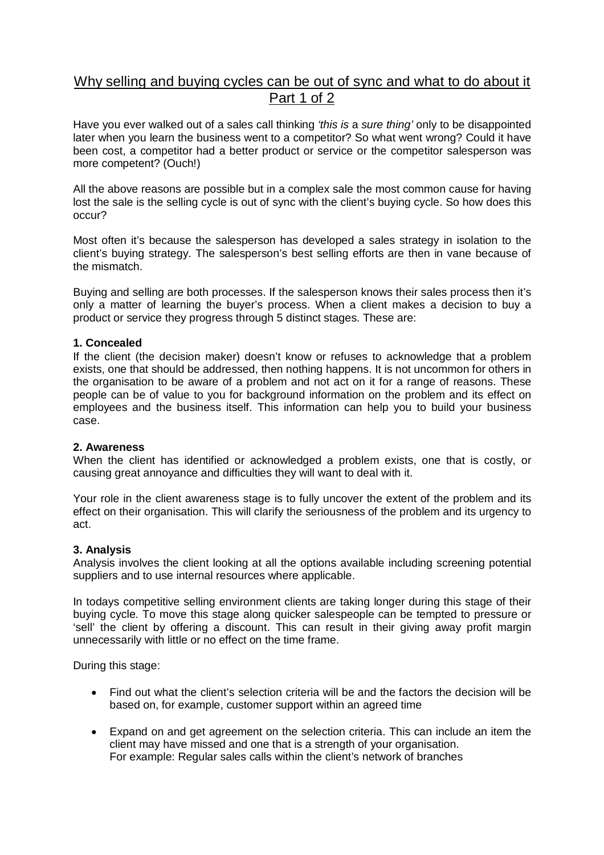# Why selling and buying cycles can be out of sync and what to do about it Part 1 of 2

Have you ever walked out of a sales call thinking *'this is* a *sure thing'* only to be disappointed later when you learn the business went to a competitor? So what went wrong? Could it have been cost, a competitor had a better product or service or the competitor salesperson was more competent? (Ouch!)

All the above reasons are possible but in a complex sale the most common cause for having lost the sale is the selling cycle is out of sync with the client's buying cycle. So how does this occur?

Most often it's because the salesperson has developed a sales strategy in isolation to the client's buying strategy. The salesperson's best selling efforts are then in vane because of the mismatch.

Buying and selling are both processes. If the salesperson knows their sales process then it's only a matter of learning the buyer's process. When a client makes a decision to buy a product or service they progress through 5 distinct stages. These are:

## **1. Concealed**

If the client (the decision maker) doesn't know or refuses to acknowledge that a problem exists, one that should be addressed, then nothing happens. It is not uncommon for others in the organisation to be aware of a problem and not act on it for a range of reasons. These people can be of value to you for background information on the problem and its effect on employees and the business itself. This information can help you to build your business case.

#### **2. Awareness**

When the client has identified or acknowledged a problem exists, one that is costly, or causing great annoyance and difficulties they will want to deal with it.

Your role in the client awareness stage is to fully uncover the extent of the problem and its effect on their organisation. This will clarify the seriousness of the problem and its urgency to act.

#### **3. Analysis**

Analysis involves the client looking at all the options available including screening potential suppliers and to use internal resources where applicable.

In todays competitive selling environment clients are taking longer during this stage of their buying cycle. To move this stage along quicker salespeople can be tempted to pressure or 'sell' the client by offering a discount. This can result in their giving away profit margin unnecessarily with little or no effect on the time frame.

During this stage:

- Find out what the client's selection criteria will be and the factors the decision will be based on, for example, customer support within an agreed time
- Expand on and get agreement on the selection criteria. This can include an item the client may have missed and one that is a strength of your organisation. For example: Regular sales calls within the client's network of branches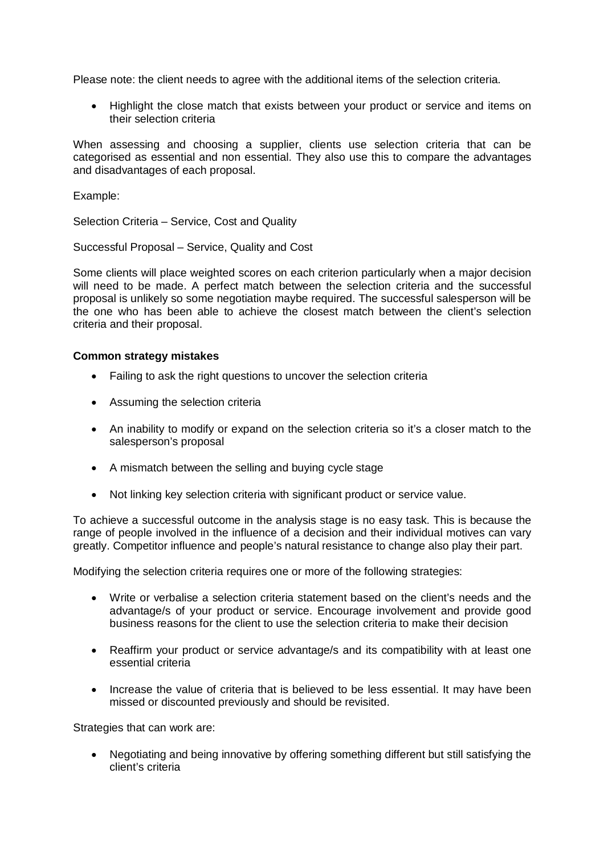Please note: the client needs to agree with the additional items of the selection criteria.

• Highlight the close match that exists between your product or service and items on their selection criteria

When assessing and choosing a supplier, clients use selection criteria that can be categorised as essential and non essential. They also use this to compare the advantages and disadvantages of each proposal.

Example:

Selection Criteria – Service, Cost and Quality

Successful Proposal – Service, Quality and Cost

Some clients will place weighted scores on each criterion particularly when a major decision will need to be made. A perfect match between the selection criteria and the successful proposal is unlikely so some negotiation maybe required. The successful salesperson will be the one who has been able to achieve the closest match between the client's selection criteria and their proposal.

#### **Common strategy mistakes**

- Failing to ask the right questions to uncover the selection criteria
- Assuming the selection criteria
- An inability to modify or expand on the selection criteria so it's a closer match to the salesperson's proposal
- A mismatch between the selling and buying cycle stage
- Not linking key selection criteria with significant product or service value.

To achieve a successful outcome in the analysis stage is no easy task. This is because the range of people involved in the influence of a decision and their individual motives can vary greatly. Competitor influence and people's natural resistance to change also play their part.

Modifying the selection criteria requires one or more of the following strategies:

- Write or verbalise a selection criteria statement based on the client's needs and the advantage/s of your product or service. Encourage involvement and provide good business reasons for the client to use the selection criteria to make their decision
- Reaffirm your product or service advantage/s and its compatibility with at least one essential criteria
- Increase the value of criteria that is believed to be less essential. It may have been missed or discounted previously and should be revisited.

Strategies that can work are:

 Negotiating and being innovative by offering something different but still satisfying the client's criteria